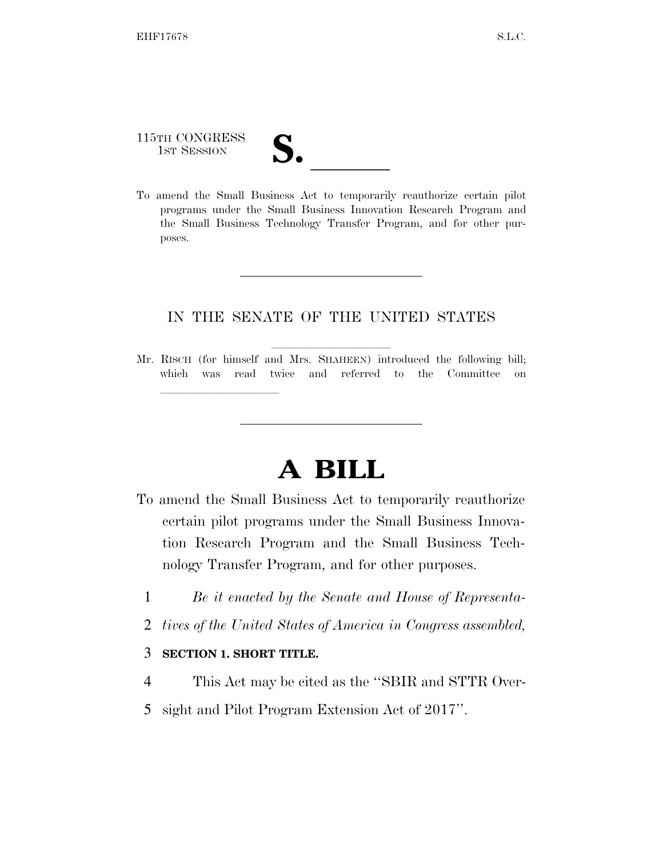115TH CONGRESS

115TH CONGRESS<br>
1ST SESSION<br>
To amend the Small Business Act to temporarily reauthorize certain pilot programs under the Small Business Innovation Research Program and the Small Business Technology Transfer Program, and for other purposes.

## IN THE SENATE OF THE UNITED STATES

Mr. RISCH (for himself and Mrs. SHAHEEN) introduced the following bill; which was read twice and referred to the Committee on

## **A BILL**

- To amend the Small Business Act to temporarily reauthorize certain pilot programs under the Small Business Innovation Research Program and the Small Business Technology Transfer Program, and for other purposes.
	- 1 *Be it enacted by the Senate and House of Representa-*
	- 2 *tives of the United States of America in Congress assembled,*

## 3 **SECTION 1. SHORT TITLE.**

lla se a constituída a constituída a constituída a constituída a constituída a constituída a constituída a con

- 4 This Act may be cited as the ''SBIR and STTR Over-
- 5 sight and Pilot Program Extension Act of 2017''.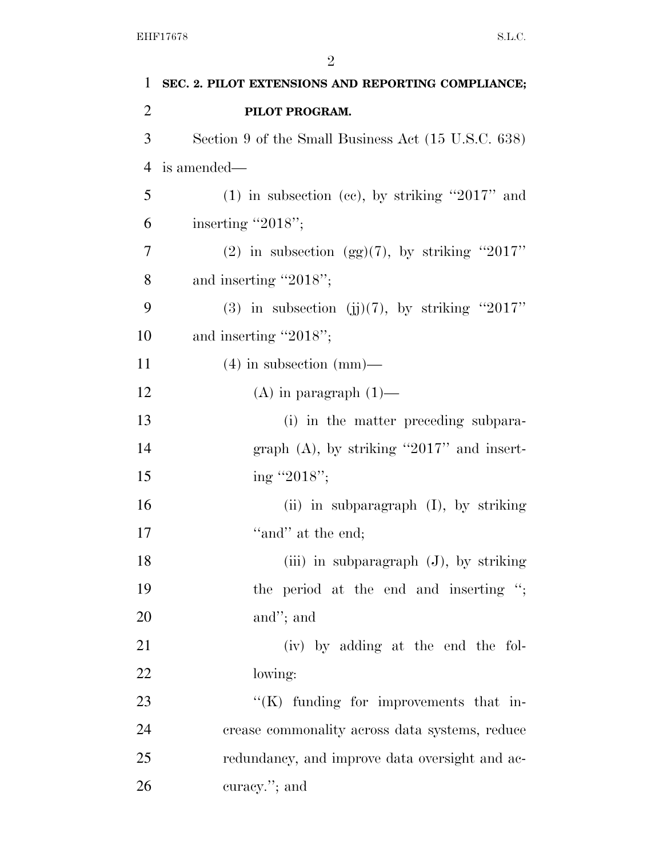| $\mathbf{1}$   | SEC. 2. PILOT EXTENSIONS AND REPORTING COMPLIANCE;  |
|----------------|-----------------------------------------------------|
| $\overline{2}$ | PILOT PROGRAM.                                      |
| 3              | Section 9 of the Small Business Act (15 U.S.C. 638) |
| $\overline{4}$ | is amended—                                         |
| 5              | $(1)$ in subsection (cc), by striking "2017" and    |
| 6              | inserting "2018";                                   |
| $\overline{7}$ | (2) in subsection (gg)(7), by striking "2017"       |
| 8              | and inserting "2018";                               |
| 9              | (3) in subsection (j)(7), by striking "2017"        |
| 10             | and inserting "2018";                               |
| 11             | $(4)$ in subsection (mm)—                           |
| 12             | $(A)$ in paragraph $(1)$ —                          |
| 13             | (i) in the matter preceding subpara-                |
| 14             | graph $(A)$ , by striking "2017" and insert-        |
| 15             | ing "2018";                                         |
| 16             | (ii) in subparagraph $(I)$ , by striking            |
| 17             | "and" at the end;                                   |
| 18             | $(iii)$ in subparagraph $(J)$ , by striking         |
| 19             | the period at the end and inserting ";              |
| 20             | and"; and                                           |
| 21             | (iv) by adding at the end the fol-                  |
| 22             | lowing:                                             |
| 23             | $\lq\lq$ funding for improvements that in-          |
| 24             | crease commonality across data systems, reduce      |
| 25             | redundancy, and improve data oversight and ac-      |
| 26             | curacy."; and                                       |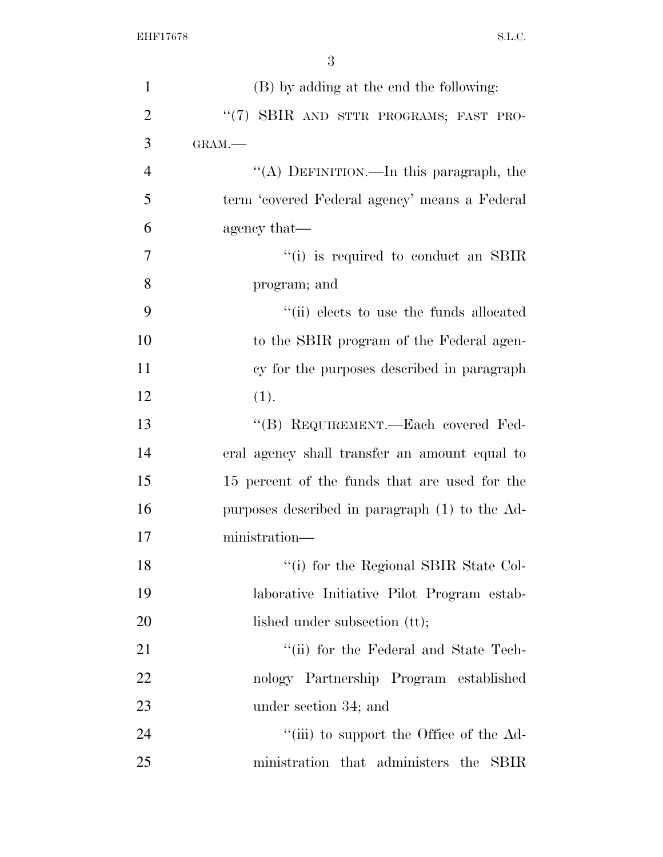| $\mathbf{1}$   | (B) by adding at the end the following:          |
|----------------|--------------------------------------------------|
| $\overline{2}$ | "(7) SBIR AND STTR PROGRAMS; FAST PRO-           |
| 3              | GRAM.-                                           |
| $\overline{4}$ | "(A) DEFINITION.—In this paragraph, the          |
| 5              | term 'covered Federal agency' means a Federal    |
| 6              | agency that—                                     |
| 7              | $\cdot$ (i) is required to conduct an SBIR       |
| 8              | program; and                                     |
| 9              | "(ii) elects to use the funds allocated          |
| 10             | to the SBIR program of the Federal agen-         |
| 11             | cy for the purposes described in paragraph       |
| 12             | (1).                                             |
| 13             | "(B) REQUIREMENT.—Each covered Fed-              |
| 14             | eral agency shall transfer an amount equal to    |
| 15             | 15 percent of the funds that are used for the    |
| 16             | purposes described in paragraph (1) to the Ad-   |
| 17             | ministration-                                    |
| 18             | "(i) for the Regional SBIR State Col-            |
| 19             | laborative Initiative Pilot Program estab-       |
| 20             | lished under subsection (tt);                    |
| 21             | "(ii) for the Federal and State Tech-            |
| 22             | nology Partnership Program established           |
| 23             | under section 34; and                            |
| 24             | "(iii) to support the Office of the Ad-          |
| 25             | ministration that administers the<br><b>SBIR</b> |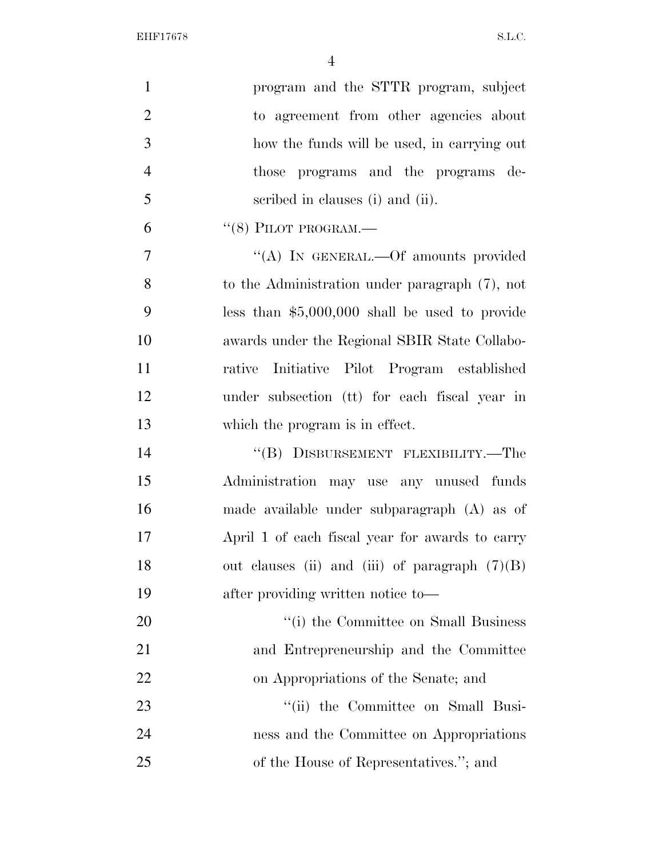| $\mathbf{1}$   | program and the STTR program, subject             |
|----------------|---------------------------------------------------|
| $\overline{2}$ | to agreement from other agencies about            |
| 3              | how the funds will be used, in carrying out       |
| $\overline{4}$ | those programs and the programs de-               |
| 5              | scribed in clauses (i) and (ii).                  |
| 6              | $``(8)$ PILOT PROGRAM.—                           |
| $\overline{7}$ | "(A) IN GENERAL.—Of amounts provided              |
| 8              | to the Administration under paragraph $(7)$ , not |
| 9              | less than $$5,000,000$ shall be used to provide   |
| 10             | awards under the Regional SBIR State Collabo-     |
| 11             | rative Initiative Pilot Program established       |
| 12             | under subsection (tt) for each fiscal year in     |
| 13             | which the program is in effect.                   |
| 14             | "(B) DISBURSEMENT FLEXIBILITY.—The                |
| 15             | Administration may use any unused funds           |
| 16             | made available under subparagraph (A) as of       |
| 17             | April 1 of each fiscal year for awards to carry   |
| 18             | out clauses (ii) and (iii) of paragraph $(7)(B)$  |
| 19             | after providing written notice to-                |
| 20             | "(i) the Committee on Small Business              |
| 21             | and Entrepreneurship and the Committee            |
| 22             | on Appropriations of the Senate; and              |
| 23             | "(ii) the Committee on Small Busi-                |
| 24             | ness and the Committee on Appropriations          |
| 25             | of the House of Representatives."; and            |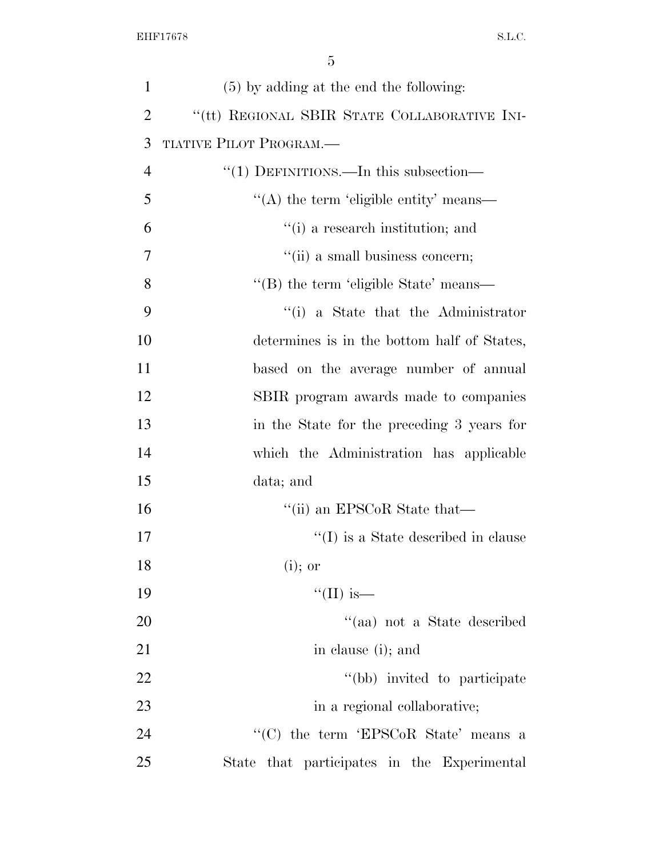| $\mathbf{1}$   | (5) by adding at the end the following:      |
|----------------|----------------------------------------------|
| $\overline{2}$ | "(tt) REGIONAL SBIR STATE COLLABORATIVE INI- |
| 3              | TIATIVE PILOT PROGRAM.                       |
| $\overline{4}$ | "(1) DEFINITIONS.—In this subsection—        |
| 5              | $\lq\lq$ the term 'eligible entity' means—   |
| 6              | "(i) a research institution; and             |
| 7              | "(ii) a small business concern;              |
| 8              | "(B) the term 'eligible State' means—        |
| 9              | "(i) a State that the Administrator          |
| 10             | determines is in the bottom half of States,  |
| 11             | based on the average number of annual        |
| 12             | SBIR program awards made to companies        |
| 13             | in the State for the preceding 3 years for   |
| 14             | which the Administration has applicable      |
| 15             | data; and                                    |
| 16             | "(ii) an EPSCoR State that—                  |
| 17             | $\lq\lq$ (I) is a State described in clause  |
| 18             | $(i)$ ; or                                   |
| 19             | "(II) is—                                    |
| 20             | "(aa) not a State described                  |
| 21             | in clause (i); and                           |
| 22             | "(bb) invited to participate                 |
| 23             | in a regional collaborative;                 |
| 24             | "(C) the term 'EPSCoR State' means a         |
| 25             | State that participates in the Experimental  |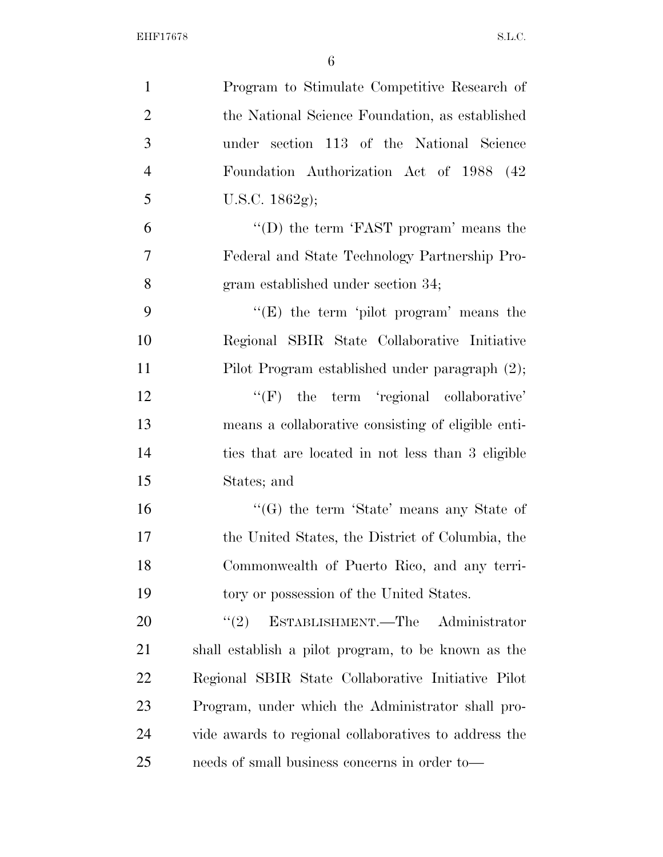| $\mathbf{1}$   | Program to Stimulate Competitive Research of          |
|----------------|-------------------------------------------------------|
| $\overline{2}$ | the National Science Foundation, as established       |
| 3              | under section 113 of the National Science             |
| $\overline{4}$ | Foundation Authorization Act of 1988 (42              |
| 5              | U.S.C. $1862g$ ;                                      |
| 6              | "(D) the term 'FAST program' means the                |
| 7              | Federal and State Technology Partnership Pro-         |
| 8              | gram established under section 34;                    |
| 9              | " $(E)$ the term 'pilot program' means the            |
| 10             | Regional SBIR State Collaborative Initiative          |
| 11             | Pilot Program established under paragraph (2);        |
| 12             | $\lq\lq(F)$ the term 'regional collaborative'         |
| 13             | means a collaborative consisting of eligible enti-    |
| 14             | ties that are located in not less than 3 eligible     |
| 15             | States; and                                           |
| 16             | " $(G)$ the term 'State' means any State of           |
| 17             | the United States, the District of Columbia, the      |
| 18             | Commonwealth of Puerto Rico, and any terri-           |
| 19             | tory or possession of the United States.              |
| 20             | ESTABLISHMENT.—The Administrator<br>(2)               |
| 21             | shall establish a pilot program, to be known as the   |
| 22             | Regional SBIR State Collaborative Initiative Pilot    |
| 23             | Program, under which the Administrator shall pro-     |
| 24             | vide awards to regional collaboratives to address the |
| 25             | needs of small business concerns in order to—         |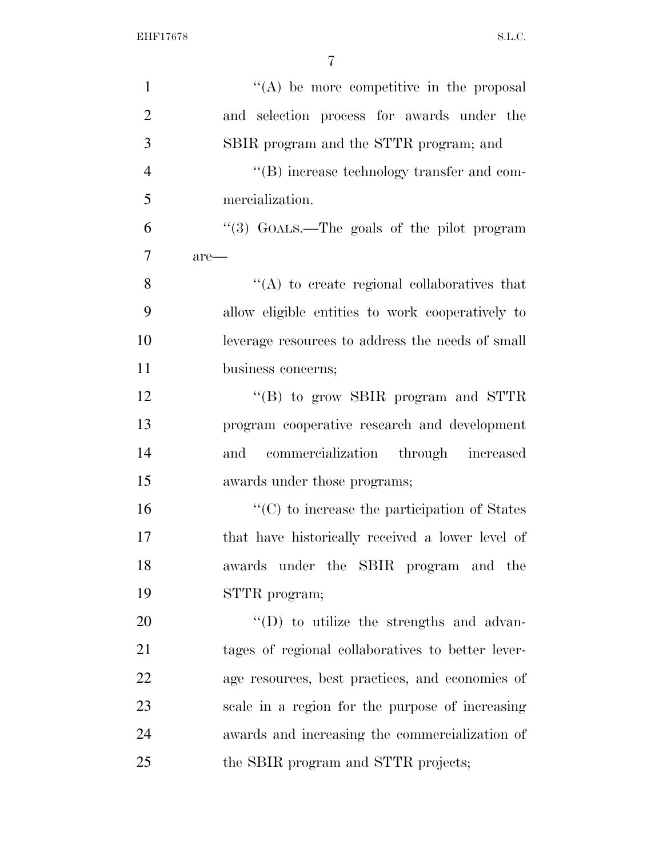| $\mathbf{1}$   | $\lq\lq$ be more competitive in the proposal         |
|----------------|------------------------------------------------------|
| $\overline{2}$ | and selection process for awards under the           |
| 3              | SBIR program and the STTR program; and               |
| $\overline{4}$ | "(B) increase technology transfer and com-           |
| 5              | mercialization.                                      |
| 6              | "(3) GOALS.—The goals of the pilot program           |
| $\overline{7}$ | $are-$                                               |
| 8              | $\lq\lq$ to create regional collaboratives that      |
| 9              | allow eligible entities to work cooperatively to     |
| 10             | leverage resources to address the needs of small     |
| 11             | business concerns;                                   |
| 12             | "(B) to grow SBIR program and STTR                   |
| 13             | program cooperative research and development         |
| 14             | commercialization through increased<br>and           |
| 15             | awards under those programs;                         |
| 16             | $\lq\lq$ (C) to increase the participation of States |
| 17             | that have historically received a lower level of     |
| 18             | awards under the SBIR program and the                |
| 19             | STTR program;                                        |
| 20             | $\lq\lq$ to utilize the strengths and advan-         |
| 21             | tages of regional collaboratives to better lever-    |
| 22             | age resources, best practices, and economies of      |
| 23             | scale in a region for the purpose of increasing      |
| 24             | awards and increasing the commercialization of       |
| 25             | the SBIR program and STTR projects;                  |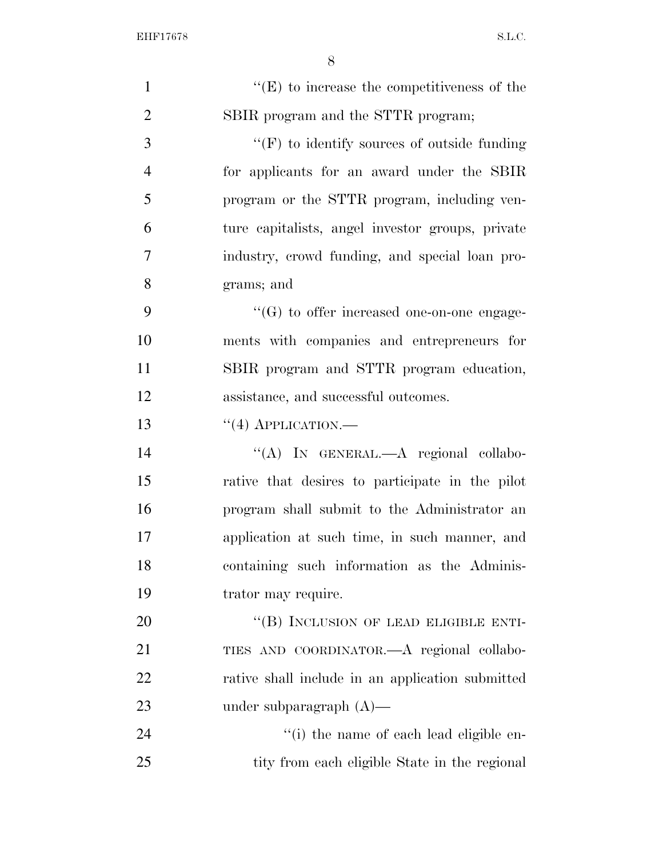| $\mathbf{1}$   | $\lq\lq(E)$ to increase the competitiveness of the |
|----------------|----------------------------------------------------|
| $\overline{2}$ | SBIR program and the STTR program;                 |
| 3              | $``(F)$ to identify sources of outside funding     |
| $\overline{4}$ | for applicants for an award under the SBIR         |
| 5              | program or the STTR program, including ven-        |
| 6              | ture capitalists, angel investor groups, private   |
| 7              | industry, crowd funding, and special loan pro-     |
| 8              | grams; and                                         |
| 9              | $\lq\lq(G)$ to offer increased one-on-one engage-  |
| 10             | ments with companies and entrepreneurs for         |
| 11             | SBIR program and STTR program education,           |
| 12             | assistance, and successful outcomes.               |
| 13             | $``(4)$ APPLICATION.—                              |
| 14             | "(A) IN GENERAL.—A regional collabo-               |
| 15             | rative that desires to participate in the pilot    |
| 16             | program shall submit to the Administrator an       |
| 17             | application at such time, in such manner, and      |
| 18             | containing such information as the Adminis-        |
| 19             | trator may require.                                |
| 20             | "(B) INCLUSION OF LEAD ELIGIBLE ENTI-              |
| 21             | TIES AND COORDINATOR.—A regional collabo-          |
| 22             | rative shall include in an application submitted   |
| 23             | under subparagraph $(A)$ —                         |
| 24             | "(i) the name of each lead eligible en-            |
| 25             | tity from each eligible State in the regional      |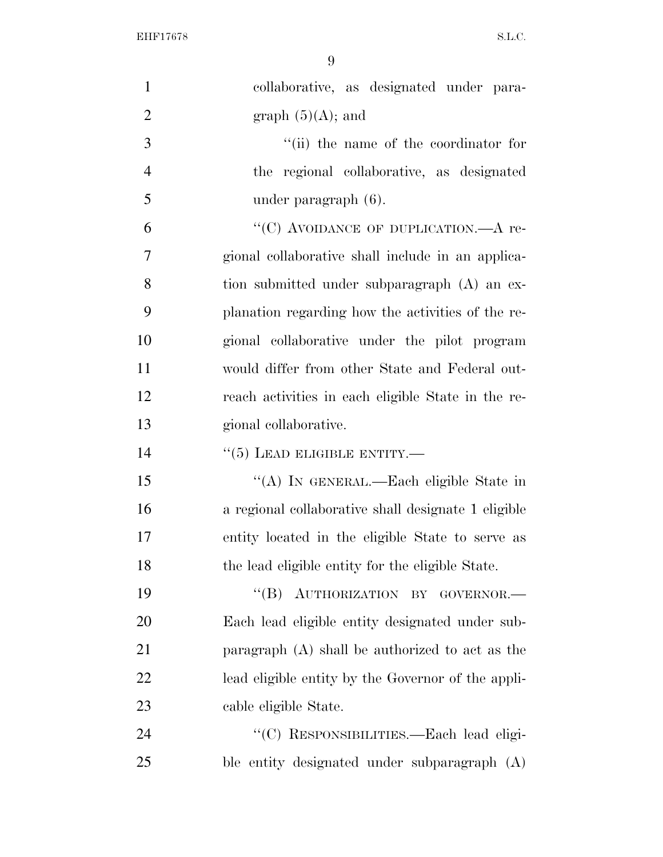| $\mathbf{1}$   | collaborative, as designated under para-            |
|----------------|-----------------------------------------------------|
| $\overline{2}$ | graph $(5)(A)$ ; and                                |
| $\overline{3}$ | "(ii) the name of the coordinator for               |
| $\overline{4}$ | the regional collaborative, as designated           |
| 5              | under paragraph (6).                                |
| 6              | "(C) AVOIDANCE OF DUPLICATION.—A re-                |
| $\overline{7}$ | gional collaborative shall include in an applica-   |
| 8              | tion submitted under subparagraph (A) an ex-        |
| 9              | planation regarding how the activities of the re-   |
| 10             | gional collaborative under the pilot program        |
| 11             | would differ from other State and Federal out-      |
| 12             | reach activities in each eligible State in the re-  |
| 13             | gional collaborative.                               |
| 14             | $``(5)$ LEAD ELIGIBLE ENTITY.—                      |
| 15             | "(A) IN GENERAL.—Each eligible State in             |
| 16             | a regional collaborative shall designate 1 eligible |
| 17             | entity located in the eligible State to serve as    |
| 18             | the lead eligible entity for the eligible State.    |
| 19             | "(B) AUTHORIZATION BY GOVERNOR.-                    |
|                |                                                     |
| 20             | Each lead eligible entity designated under sub-     |
| 21             | paragraph $(A)$ shall be authorized to act as the   |
| 22             | lead eligible entity by the Governor of the appli-  |
| 23             | cable eligible State.                               |
| 24             | "(C) RESPONSIBILITIES.-Each lead eligi-             |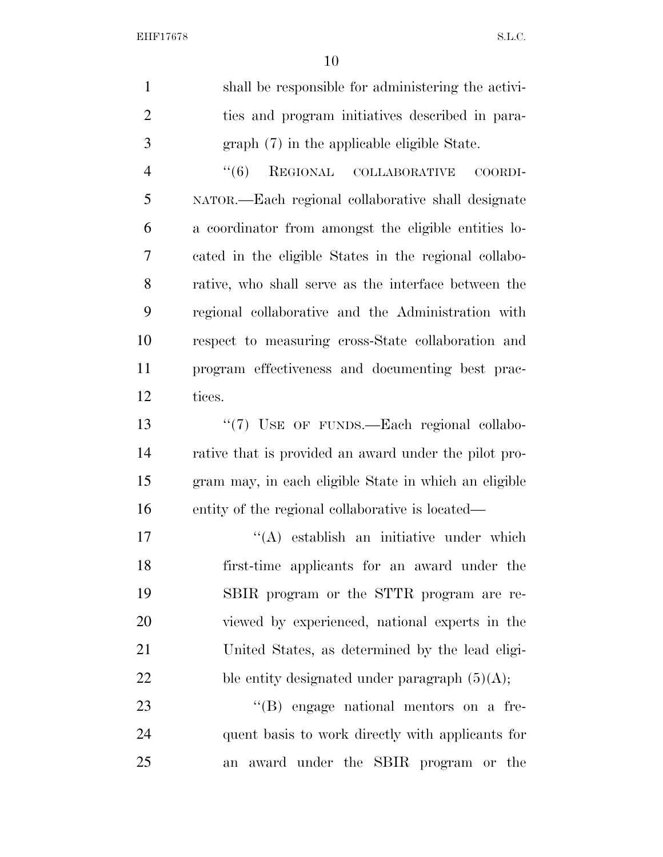| $\mathbf{1}$   | shall be responsible for administering the activi-    |
|----------------|-------------------------------------------------------|
| $\overline{2}$ | ties and program initiatives described in para-       |
| 3              | graph (7) in the applicable eligible State.           |
| $\overline{4}$ | REGIONAL COLLABORATIVE<br>(6)<br>COORDI-              |
| 5              | NATOR.—Each regional collaborative shall designate    |
| 6              | a coordinator from amongst the eligible entities lo-  |
| 7              | cated in the eligible States in the regional collabo- |
| 8              | rative, who shall serve as the interface between the  |
| 9              | regional collaborative and the Administration with    |
| 10             | respect to measuring cross-State collaboration and    |
| 11             | program effectiveness and documenting best prac-      |
| 12             | tices.                                                |
| 13             | "(7) USE OF FUNDS.-Each regional collabo-             |
| 14             | rative that is provided an award under the pilot pro- |
| 15             | gram may, in each eligible State in which an eligible |
| 16             | entity of the regional collaborative is located—      |
| 17             | "(A) establish an initiative under which              |
| 18             | first-time applicants for an award under the          |
| 19             | SBIR program or the STTR program are re-              |
| 20             | viewed by experienced, national experts in the        |
| 21             | United States, as determined by the lead eligi-       |
| 22             | ble entity designated under paragraph $(5)(A)$ ;      |
|                |                                                       |
| 23             | "(B) engage national mentors on a fre-                |

an award under the SBIR program or the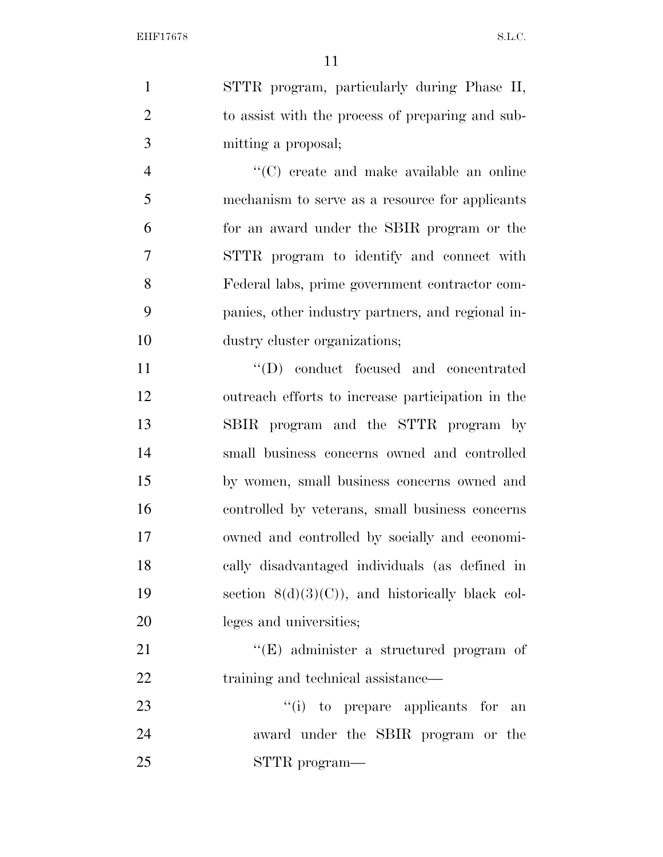STTR program, particularly during Phase II, to assist with the process of preparing and sub-mitting a proposal;

 ''(C) create and make available an online mechanism to serve as a resource for applicants for an award under the SBIR program or the STTR program to identify and connect with Federal labs, prime government contractor com- panies, other industry partners, and regional in-dustry cluster organizations;

 $\text{``(D)} \quad \text{conduct} \quad \text{focused} \quad \text{and} \quad \text{concentrated}$  outreach efforts to increase participation in the SBIR program and the STTR program by small business concerns owned and controlled by women, small business concerns owned and controlled by veterans, small business concerns owned and controlled by socially and economi- cally disadvantaged individuals (as defined in 19 section  $8(d)(3)(C)$ , and historically black col-leges and universities;

21 ''(E) administer a structured program of 22 training and technical assistance—

23  $\frac{1}{1}$  to prepare applicants for an award under the SBIR program or the STTR program—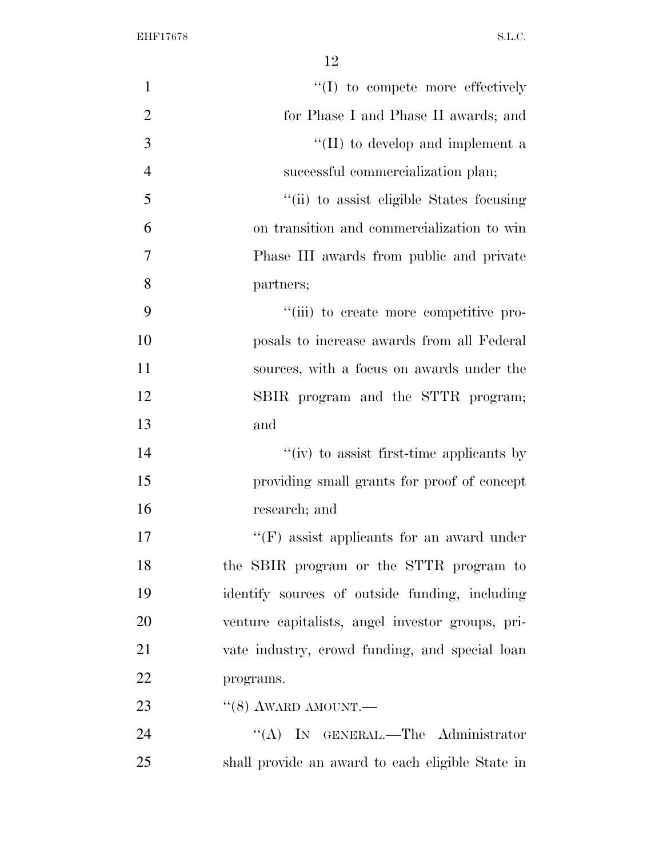| $\mathbf{1}$   | "(I) to compete more effectively                 |
|----------------|--------------------------------------------------|
| $\overline{2}$ | for Phase I and Phase II awards; and             |
| 3              | "(II) to develop and implement a                 |
| $\overline{4}$ | successful commercialization plan;               |
| 5              | "(ii) to assist eligible States focusing         |
| 6              | on transition and commercialization to win       |
| $\overline{7}$ | Phase III awards from public and private         |
| 8              | partners;                                        |
| 9              | "(iii) to create more competitive pro-           |
| 10             | posals to increase awards from all Federal       |
| 11             | sources, with a focus on awards under the        |
| 12             | SBIR program and the STTR program;               |
| 13             | and                                              |
| 14             | " $(iv)$ to assist first-time applicants by      |
| 15             | providing small grants for proof of concept      |
| 16             | research; and                                    |
| 17             | $\lq\lq(F)$ assist applicants for an award under |
| 18             | the SBIR program or the STTR program to          |
| 19             | identify sources of outside funding, including   |
| 20             | venture capitalists, angel investor groups, pri- |
| 21             | vate industry, crowd funding, and special loan   |
| 22             | programs.                                        |
| 23             | $``(8)$ AWARD AMOUNT.—                           |
| 24             | "(A) IN GENERAL.—The Administrator               |
| 25             | shall provide an award to each eligible State in |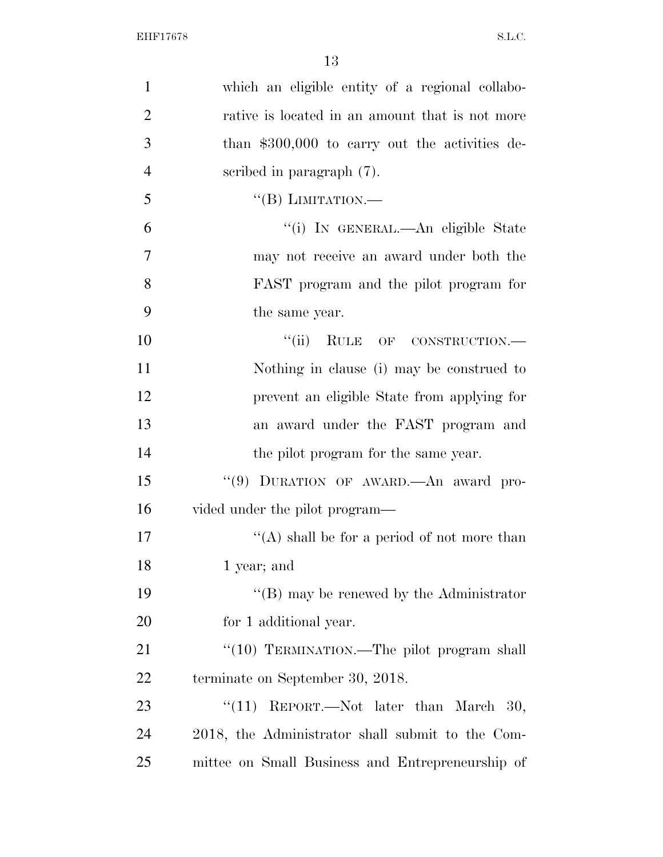| $\mathbf{1}$   | which an eligible entity of a regional collabo-  |
|----------------|--------------------------------------------------|
| $\overline{2}$ | rative is located in an amount that is not more  |
| 3              | than $$300,000$ to carry out the activities de-  |
| $\overline{4}$ | scribed in paragraph (7).                        |
| 5              | "(B) LIMITATION.—                                |
| 6              | "(i) In GENERAL.—An eligible State               |
| 7              | may not receive an award under both the          |
| 8              | FAST program and the pilot program for           |
| 9              | the same year.                                   |
| 10             | "(ii) RULE OF CONSTRUCTION.-                     |
| 11             | Nothing in clause (i) may be construed to        |
| 12             | prevent an eligible State from applying for      |
| 13             | an award under the FAST program and              |
| 14             | the pilot program for the same year.             |
| 15             | "(9) DURATION OF AWARD. An award pro-            |
| 16             | vided under the pilot program—                   |
| 17             | "(A) shall be for a period of not more than      |
| 18             | 1 year; and                                      |
| 19             | $\lq\lq$ (B) may be renewed by the Administrator |
| 20             | for 1 additional year.                           |
| 21             | "(10) TERMINATION.—The pilot program shall       |
| <u>22</u>      | terminate on September 30, 2018.                 |
| 23             | " $(11)$ REPORT.—Not later than March 30,        |
| 24             | 2018, the Administrator shall submit to the Com- |
| 25             | mittee on Small Business and Entrepreneurship of |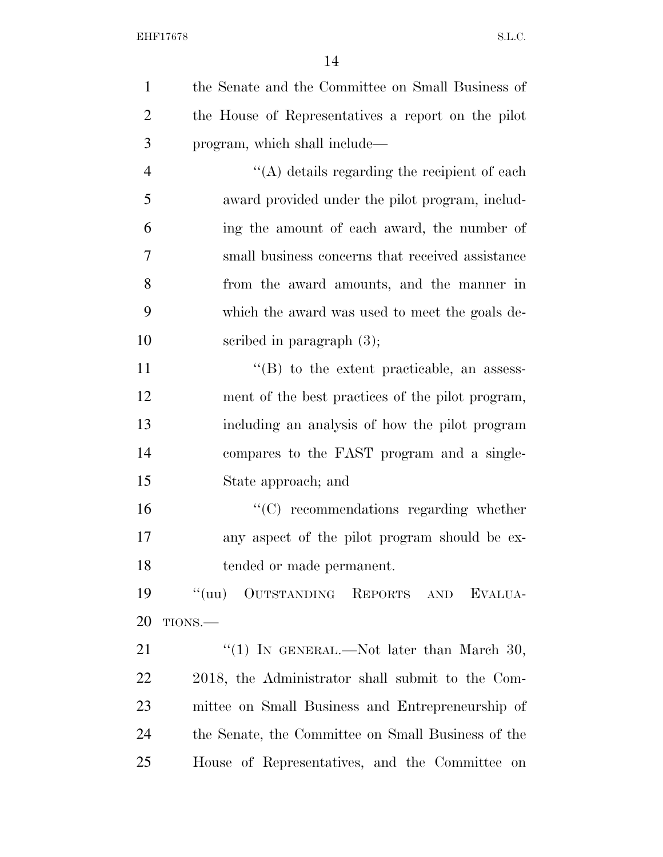| $\mathbf{1}$   | the Senate and the Committee on Small Business of  |
|----------------|----------------------------------------------------|
| $\overline{2}$ | the House of Representatives a report on the pilot |
| 3              | program, which shall include—                      |
| $\overline{4}$ | $\lq\lq$ details regarding the recipient of each   |
| 5              | award provided under the pilot program, includ-    |
| 6              | ing the amount of each award, the number of        |
| 7              | small business concerns that received assistance   |
| 8              | from the award amounts, and the manner in          |
| 9              | which the award was used to meet the goals de-     |
| 10             | scribed in paragraph $(3)$ ;                       |
| 11             | $\lq\lq$ to the extent practicable, an assess-     |
| 12             | ment of the best practices of the pilot program,   |
| 13             | including an analysis of how the pilot program     |
| 14             | compares to the FAST program and a single-         |
| 15             | State approach; and                                |
| 16             | $\cdot$ (C) recommendations regarding whether      |
| 17             | any aspect of the pilot program should be ex-      |
| 18             | tended or made permanent.                          |
| 19             | "(uu) OUTSTANDING REPORTS AND EVALUA-              |
| 20             | TIONS.-                                            |
| 21             | "(1) IN GENERAL.—Not later than March 30,          |
| 22             | 2018, the Administrator shall submit to the Com-   |
| 23             | mittee on Small Business and Entrepreneurship of   |
| 24             | the Senate, the Committee on Small Business of the |
| 25             | House of Representatives, and the Committee on     |